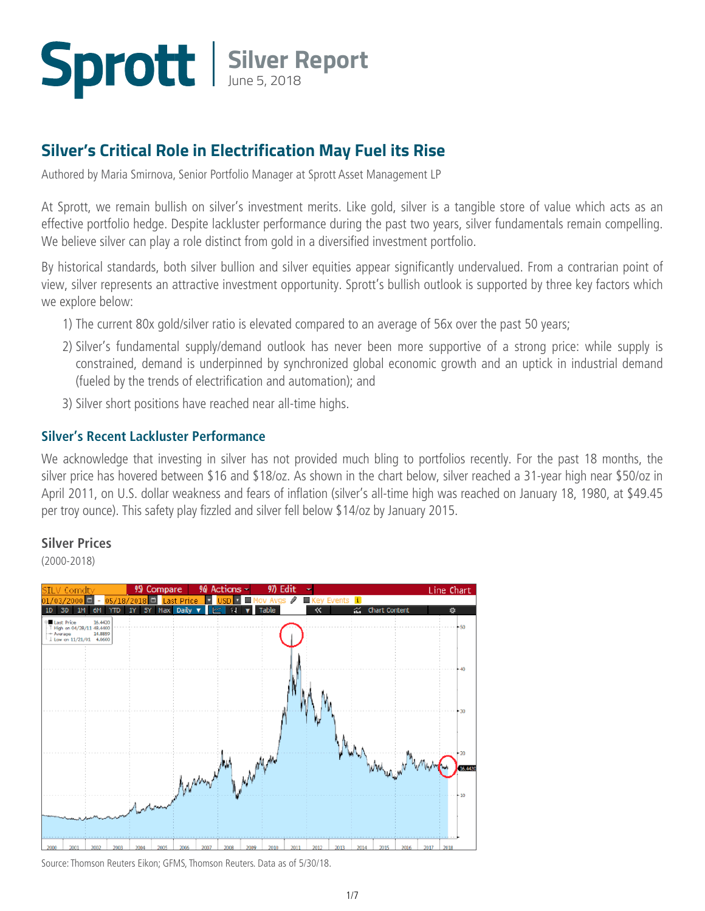## **Silver Report** June 5, 2018

#### **Silver's Critical Role in Electrification May Fuel its Rise**

Authored by Maria Smirnova, Senior Portfolio Manager at Sprott Asset Management LP

At Sprott, we remain bullish on silver's investment merits. Like gold, silver is a tangible store of value which acts as an effective portfolio hedge. Despite lackluster performance during the past two years, silver fundamentals remain compelling. We believe silver can play a role distinct from gold in a diversified investment portfolio.

By historical standards, both silver bullion and silver equities appear significantly undervalued. From a contrarian point of view, silver represents an attractive investment opportunity. Sprott's bullish outlook is supported by three key factors which we explore below:

- 1) The current 80x gold/silver ratio is elevated compared to an average of 56x over the past 50 years;
- 2) Silver's fundamental supply/demand outlook has never been more supportive of a strong price: while supply is constrained, demand is underpinned by synchronized global economic growth and an uptick in industrial demand (fueled by the trends of electrification and automation); and
- 3) Silver short positions have reached near all-time highs.

#### **Silver's Recent Lackluster Performance**

We acknowledge that investing in silver has not provided much bling to portfolios recently. For the past 18 months, the silver price has hovered between \$16 and \$18/oz. As shown in the chart below, silver reached a 31-year high near \$50/oz in April 2011, on U.S. dollar weakness and fears of inflation (silver's all-time high was reached on January 18, 1980, at \$49.45 per troy ounce). This safety play fizzled and silver fell below \$14/oz by January 2015.

#### **Silver Prices**

(2000-2018)



Source: Thomson Reuters Eikon; GFMS, Thomson Reuters. Data as of 5/30/18.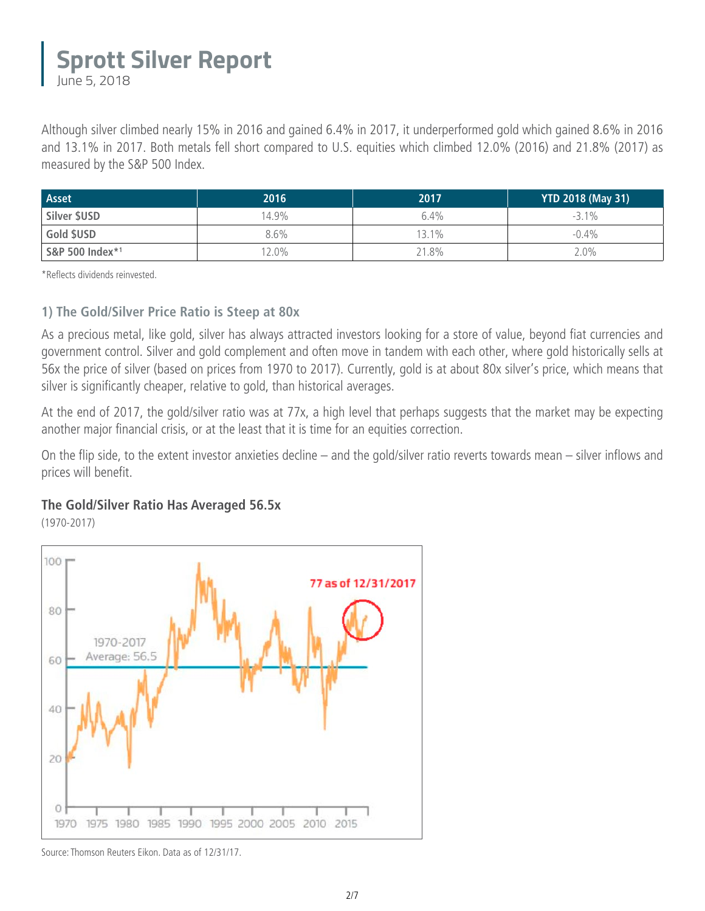June 5, 2018

Although silver climbed nearly 15% in 2016 and gained 6.4% in 2017, it underperformed gold which gained 8.6% in 2016 and 13.1% in 2017. Both metals fell short compared to U.S. equities which climbed 12.0% (2016) and 21.8% (2017) as measured by the S&P 500 Index.

| <b>Asset</b>    | 2016    | 2017    | <b>YTD 2018 (May 31)</b> |
|-----------------|---------|---------|--------------------------|
| Silver \$USD    | 14.9%   | $6.4\%$ | $-3.1\%$                 |
| Gold \$USD      | $8.6\%$ | $3.1\%$ | $-0.4\%$                 |
| S&P 500 Index*1 | $2.0\%$ | 21.8%   | $2.0\%$                  |

\*Reflects dividends reinvested.

#### **1) The Gold/Silver Price Ratio is Steep at 80x**

As a precious metal, like gold, silver has always attracted investors looking for a store of value, beyond fiat currencies and government control. Silver and gold complement and often move in tandem with each other, where gold historically sells at 56x the price of silver (based on prices from 1970 to 2017). Currently, gold is at about 80x silver's price, which means that silver is significantly cheaper, relative to gold, than historical averages.

At the end of 2017, the gold/silver ratio was at 77x, a high level that perhaps suggests that the market may be expecting another major financial crisis, or at the least that it is time for an equities correction.

On the flip side, to the extent investor anxieties decline – and the gold/silver ratio reverts towards mean – silver inflows and prices will benefit.

#### **The Gold/Silver Ratio Has Averaged 56.5x**

(1970-2017)



Source: Thomson Reuters Eikon. Data as of 12/31/17.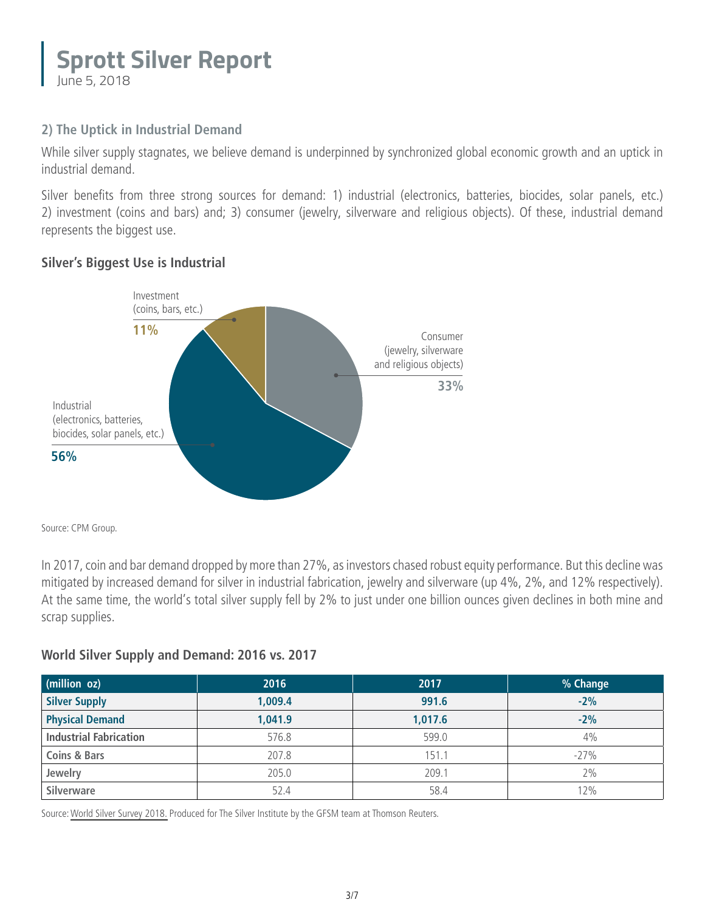#### **Sprott Silver Report** June 5, 2018

#### **2) The Uptick in Industrial Demand**

While silver supply stagnates, we believe demand is underpinned by synchronized global economic growth and an uptick in industrial demand.

Silver benefits from three strong sources for demand: 1) industrial (electronics, batteries, biocides, solar panels, etc.) 2) investment (coins and bars) and; 3) consumer (jewelry, silverware and religious objects). Of these, industrial demand represents the biggest use.

#### **Silver's Biggest Use is Industrial**



Source: CPM Group.

In 2017, coin and bar demand dropped by more than 27%, as investors chased robust equity performance. But this decline was mitigated by increased demand for silver in industrial fabrication, jewelry and silverware (up 4%, 2%, and 12% respectively). At the same time, the world's total silver supply fell by 2% to just under one billion ounces given declines in both mine and scrap supplies.

#### **World Silver Supply and Demand: 2016 vs. 2017**

| (million oz)                  | 2016    | 2017    | % Change |
|-------------------------------|---------|---------|----------|
| <b>Silver Supply</b>          | 1,009.4 | 991.6   | $-2%$    |
| <b>Physical Demand</b>        | 1,041.9 | 1,017.6 | $-2%$    |
| <b>Industrial Fabrication</b> | 576.8   | 599.0   | 4%       |
| <b>Coins &amp; Bars</b>       | 207.8   | 151.1   | $-27%$   |
| Jewelry                       | 205.0   | 209.1   | 2%       |
| Silverware                    | 52.4    | 58.4    | 12%      |

Source: [World Silver Survey 2018.](http://www.sprott.com/media/1834/the-silver-institute-world-silver-survey-2018.pdf) Produced for The Silver Institute by the GFSM team at Thomson Reuters.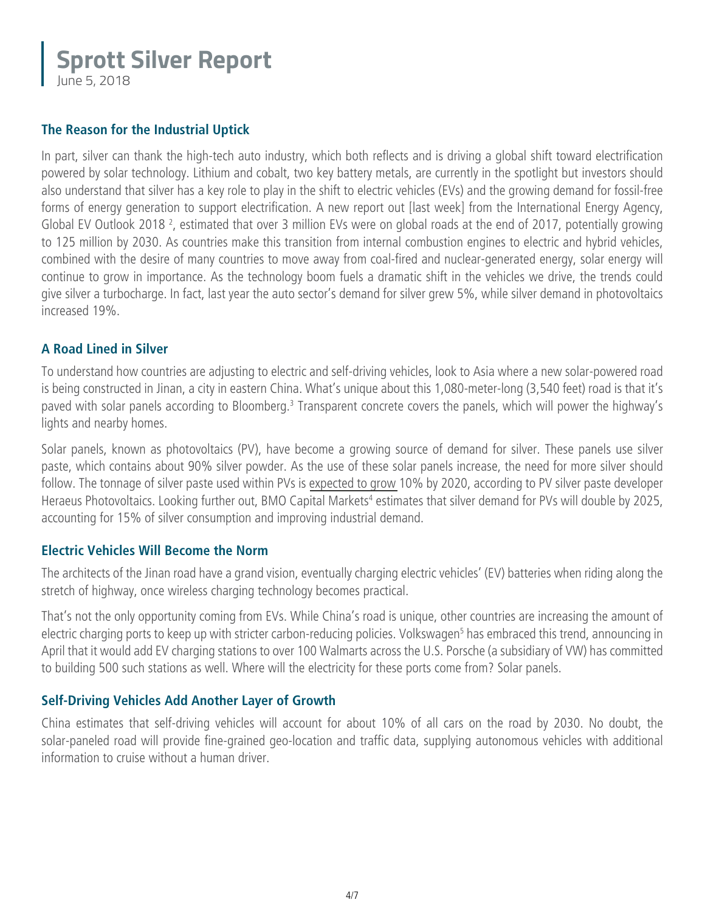June 5, 2018

#### **The Reason for the Industrial Uptick**

In part, silver can thank the high-tech auto industry, which both reflects and is driving a global shift toward electrification powered by solar technology. Lithium and cobalt, two key battery metals, are currently in the spotlight but investors should also understand that silver has a key role to play in the shift to electric vehicles (EVs) and the growing demand for fossil-free forms of energy generation to support electrification. A new report out [last week] from the International Energy Agency, Global EV Outlook 2018<sup>2</sup>, estimated that over 3 million EVs were on global roads at the end of 2017, potentially growing to 125 million by 2030. As countries make this transition from internal combustion engines to electric and hybrid vehicles, combined with the desire of many countries to move away from coal-fired and nuclear-generated energy, solar energy will continue to grow in importance. As the technology boom fuels a dramatic shift in the vehicles we drive, the trends could give silver a turbocharge. In fact, last year the auto sector's demand for silver grew 5%, while silver demand in photovoltaics increased 19%.

#### **A Road Lined in Silver**

To understand how countries are adjusting to electric and self-driving vehicles, look to Asia where a new solar-powered road is being constructed in Jinan, a city in eastern China. What's unique about this 1,080-meter-long (3,540 feet) road is that it's paved with solar panels according to Bloomberg.<sup>3</sup> Transparent concrete covers the panels, which will power the highway's lights and nearby homes.

Solar panels, known as photovoltaics (PV), have become a growing source of demand for silver. These panels use silver paste, which contains about 90% silver powder. As the use of these solar panels increase, the need for more silver should follow. The tonnage of silver paste used within PVs is [expected to grow](http://www.sprott.com/insights/sprott-silver-report-an-essential-metal-for-the-21st-century/) 10% by 2020, according to PV silver paste developer Heraeus Photovoltaics. Looking further out, BMO Capital Markets<sup>4</sup> estimates that silver demand for PVs will double by 2025, accounting for 15% of silver consumption and improving industrial demand.

#### **Electric Vehicles Will Become the Norm**

The architects of the Jinan road have a grand vision, eventually charging electric vehicles' (EV) batteries when riding along the stretch of highway, once wireless charging technology becomes practical.

That's not the only opportunity coming from EVs. While China's road is unique, other countries are increasing the amount of electric charging ports to keep up with stricter carbon-reducing policies. Volkswagen<sup>5</sup> has embraced this trend, announcing in April that it would add EV charging stations to over 100 Walmarts across the U.S. Porsche (a subsidiary of VW) has committed to building 500 such stations as well. Where will the electricity for these ports come from? Solar panels.

#### **Self-Driving Vehicles Add Another Layer of Growth**

China estimates that self-driving vehicles will account for about 10% of all cars on the road by 2030. No doubt, the solar-paneled road will provide fine-grained geo-location and traffic data, supplying autonomous vehicles with additional information to cruise without a human driver.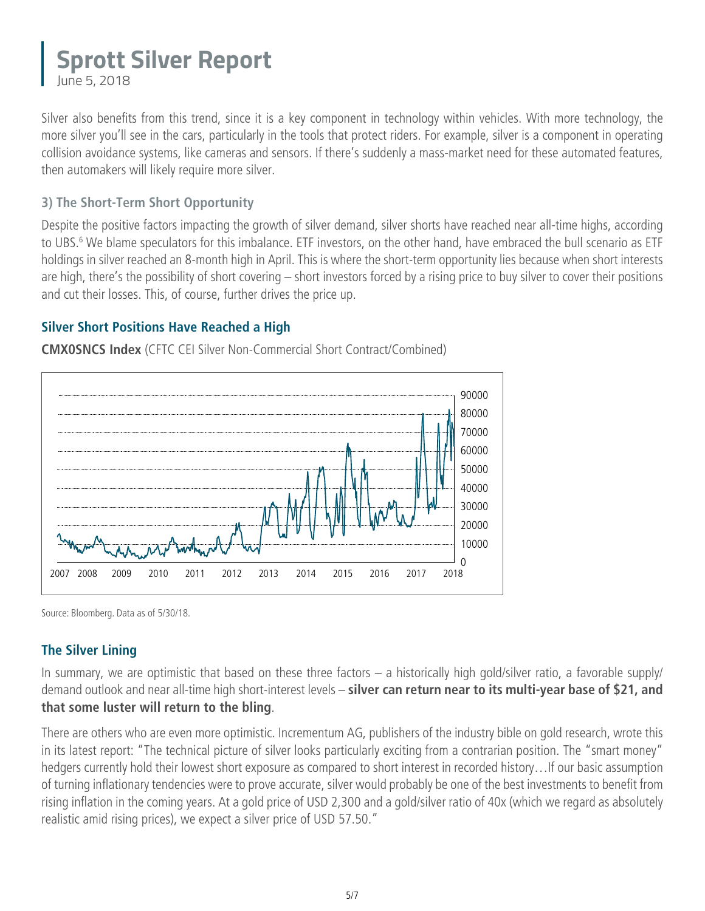June 5, 2018

Silver also benefits from this trend, since it is a key component in technology within vehicles. With more technology, the more silver you'll see in the cars, particularly in the tools that protect riders. For example, silver is a component in operating collision avoidance systems, like cameras and sensors. If there's suddenly a mass-market need for these automated features, then automakers will likely require more silver.

#### **3) The Short-Term Short Opportunity**

Despite the positive factors impacting the growth of silver demand, silver shorts have reached near all-time highs, according to UBS.<sup>6</sup> We blame speculators for this imbalance. ETF investors, on the other hand, have embraced the bull scenario as ETF holdings in silver reached an 8-month high in April. This is where the short-term opportunity lies because when short interests are high, there's the possibility of short covering – short investors forced by a rising price to buy silver to cover their positions and cut their losses. This, of course, further drives the price up.

#### **Silver Short Positions Have Reached a High**

**CMX0SNCS Index** (CFTC CEI Silver Non-Commercial Short Contract/Combined)



Source: Bloomberg. Data as of 5/30/18.

#### **The Silver Lining**

In summary, we are optimistic that based on these three factors – a historically high gold/silver ratio, a favorable supply/ demand outlook and near all-time high short-interest levels – **silver can return near to its multi-year base of \$21, and that some luster will return to the bling**.

There are others who are even more optimistic. Incrementum AG, publishers of the industry bible on gold research, wrote this in its latest report: "The technical picture of silver looks particularly exciting from a contrarian position. The "smart money" hedgers currently hold their lowest short exposure as compared to short interest in recorded history…If our basic assumption of turning inflationary tendencies were to prove accurate, silver would probably be one of the best investments to benefit from rising inflation in the coming years. At a gold price of USD 2,300 and a gold/silver ratio of 40x (which we regard as absolutely realistic amid rising prices), we expect a silver price of USD 57.50."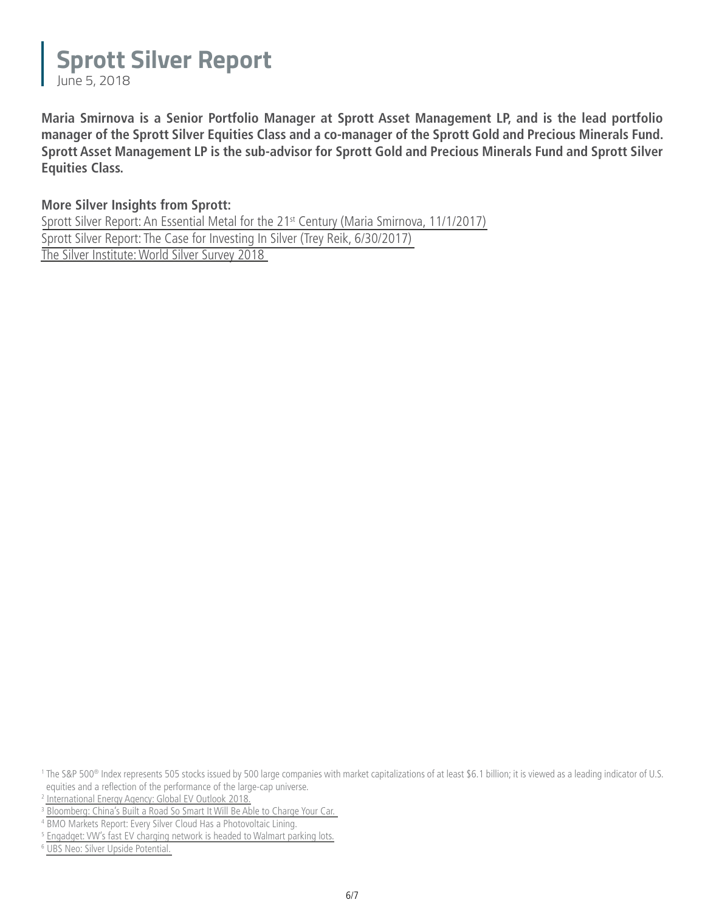June 5, 2018

**Maria Smirnova is a Senior Portfolio Manager at Sprott Asset Management LP, and is the lead portfolio manager of the Sprott Silver Equities Class and a co-manager of the Sprott Gold and Precious Minerals Fund. Sprott Asset Management LP is the sub-advisor for Sprott Gold and Precious Minerals Fund and Sprott Silver Equities Class.**

#### **More Silver Insights from Sprott:**

Sprott Silver Report: An Essential Metal for the 21<sup>st</sup> Century (Maria Smirnova, 11/1/2017) [Sprott Silver Report: The Case for Investing In Silver \(Trey Reik, 6/30/2017\)](http://www.sprott.com/insights/sprott-silver-report-the-case-for-investing-in-silver/) [The Silver Institute: World Silver Survey 2018](http://www.sprott.com/media/1834/the-silver-institute-world-silver-survey-2018.pdf)

6  [UBS Neo: Silver Upside Potential.](https://neo.ubs.com/shared/d2yHiO9xIeWSZX) 

<sup>&</sup>lt;sup>1</sup> The S&P 500<sup>®</sup> Index represents 505 stocks issued by 500 large companies with market capitalizations of at least \$6.1 billion; it is viewed as a leading indicator of U.S. equities and a reflection of the performance of the large-cap universe.

<sup>2</sup> [International Energy Agency: Global EV Outlook 2018.](http://www.iea.org/gevo2018/)

<sup>&</sup>lt;sup>3</sup> [Bloomberg: China's Built a Road So Smart It Will Be Able to Charge Your Car.](https://www.bloomberg.com/news/features/2018-04-11/the-solar-highway-that-can-recharge-electric-cars-on-the-move)

<sup>4</sup> BMO Markets Report: Every Silver Cloud Has a Photovoltaic Lining.

<sup>5</sup>  [Engadget: VW's fast EV charging network is headed to Walmart parking lots.](https://www.engadget.com/2018/04/18/vw-electrify-america-installing-fast-ev-chargers-at-walmart/)